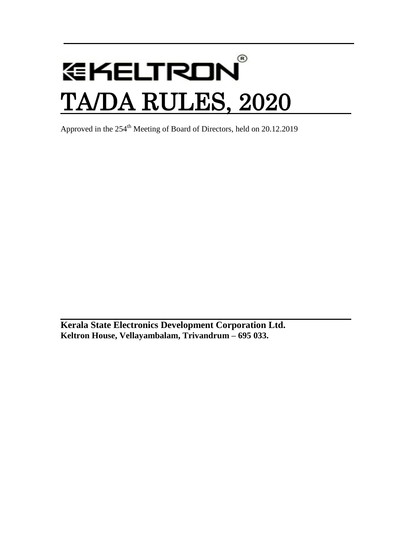# $^{\circledR}$ **GKELTRON** TA/DA RULES, 2020

Approved in the 254<sup>th</sup> Meeting of Board of Directors, held on 20.12.2019

**Kerala State Electronics Development Corporation Ltd. Keltron House, Vellayambalam, Trivandrum – 695 033.**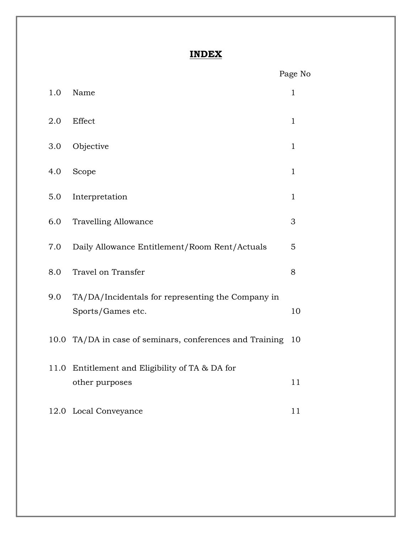### **INDEX**

|      |                                                          | Page No      |
|------|----------------------------------------------------------|--------------|
| 1.0  | Name                                                     | $\mathbf{1}$ |
| 2.0  | Effect                                                   | $\mathbf{1}$ |
| 3.0  | Objective                                                | $\mathbf{1}$ |
| 4.0  | Scope                                                    | $\mathbf{1}$ |
| 5.0  | Interpretation                                           | $\mathbf{1}$ |
| 6.0  | <b>Travelling Allowance</b>                              | 3            |
| 7.0  | Daily Allowance Entitlement/Room Rent/Actuals            | 5            |
| 8.0  | Travel on Transfer                                       | 8            |
| 9.0  | TA/DA/Incidentals for representing the Company in        |              |
|      | Sports/Games etc.                                        | 10           |
|      | 10.0 TA/DA in case of seminars, conferences and Training | 10           |
| 11.0 | Entitlement and Eligibility of TA & DA for               |              |
|      | other purposes                                           | 11           |
|      | 12.0 Local Conveyance                                    | 11           |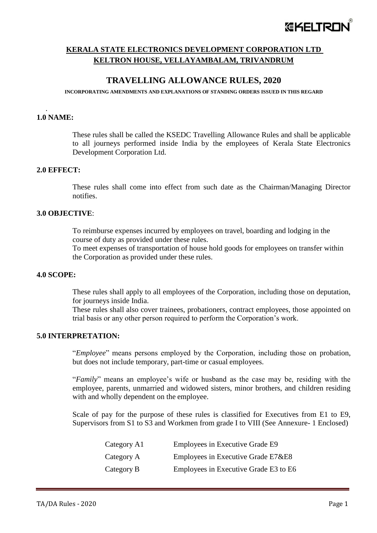## *EKELTRO*

#### **KERALA STATE ELECTRONICS DEVELOPMENT CORPORATION LTD KELTRON HOUSE, VELLAYAMBALAM, TRIVANDRUM**

#### **TRAVELLING ALLOWANCE RULES, 2020**

#### **INCORPORATING AMENDMENTS AND EXPLANATIONS OF STANDING ORDERS ISSUED IN THIS REGARD**

#### **1.0 NAME:**

.

These rules shall be called the KSEDC Travelling Allowance Rules and shall be applicable to all journeys performed inside India by the employees of Kerala State Electronics Development Corporation Ltd.

#### **2.0 EFFECT:**

These rules shall come into effect from such date as the Chairman/Managing Director notifies.

#### **3.0 OBJECTIVE**:

To reimburse expenses incurred by employees on travel, boarding and lodging in the course of duty as provided under these rules.

To meet expenses of transportation of house hold goods for employees on transfer within the Corporation as provided under these rules.

#### **4.0 SCOPE:**

These rules shall apply to all employees of the Corporation, including those on deputation, for journeys inside India.

These rules shall also cover trainees, probationers, contract employees, those appointed on trial basis or any other person required to perform the Corporation's work.

#### **5.0 INTERPRETATION:**

"*Employee*" means persons employed by the Corporation, including those on probation, but does not include temporary, part-time or casual employees.

"*Family*" means an employee's wife or husband as the case may be, residing with the employee, parents, unmarried and widowed sisters, minor brothers, and children residing with and wholly dependent on the employee.

Scale of pay for the purpose of these rules is classified for Executives from E1 to E9, Supervisors from S1 to S3 and Workmen from grade I to VIII (See Annexure- 1 Enclosed)

| Category A1 | Employees in Executive Grade E9       |
|-------------|---------------------------------------|
| Category A  | Employees in Executive Grade E7&E8    |
| Category B  | Employees in Executive Grade E3 to E6 |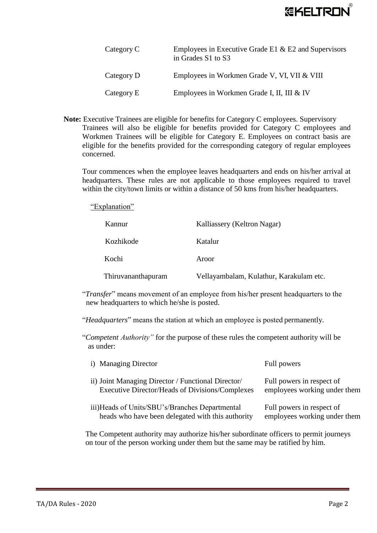

| Category C | Employees in Executive Grade E1 $\&$ E2 and Supervisors<br>in Grades S1 to S3 |
|------------|-------------------------------------------------------------------------------|
| Category D | Employees in Workmen Grade V, VI, VII & VIII                                  |
| Category E | Employees in Workmen Grade I, II, III & IV                                    |

**Note:** Executive Trainees are eligible for benefits for Category C employees. Supervisory Trainees will also be eligible for benefits provided for Category C employees and Workmen Trainees will be eligible for Category E. Employees on contract basis are eligible for the benefits provided for the corresponding category of regular employees concerned.

Tour commences when the employee leaves headquarters and ends on his/her arrival at headquarters. These rules are not applicable to those employees required to travel within the city/town limits or within a distance of 50 kms from his/her headquarters.

"Explanation"

| Kannur             | Kalliassery (Keltron Nagar)             |
|--------------------|-----------------------------------------|
| Kozhikode          | Katalur                                 |
| Kochi              | Aroor                                   |
| Thiruvananthapuram | Vellayambalam, Kulathur, Karakulam etc. |

"*Transfer*" means movement of an employee from his/her present headquarters to the new headquarters to which he/she is posted.

"*Headquarters*" means the station at which an employee is posted permanently.

"*Competent Authority"* for the purpose of these rules the competent authority will be as under:

| i) Managing Director                              | Full powers                  |
|---------------------------------------------------|------------------------------|
| ii) Joint Managing Director / Functional Director | Full powers in respect of    |
| Executive Director/Heads of Divisions/Complexes   | employees working under them |
| iii)Heads of Units/SBU's/Branches Departmental    | Full powers in respect of    |
| heads who have been delegated with this authority | employees working under them |

The Competent authority may authorize his/her subordinate officers to permit journeys on tour of the person working under them but the same may be ratified by him.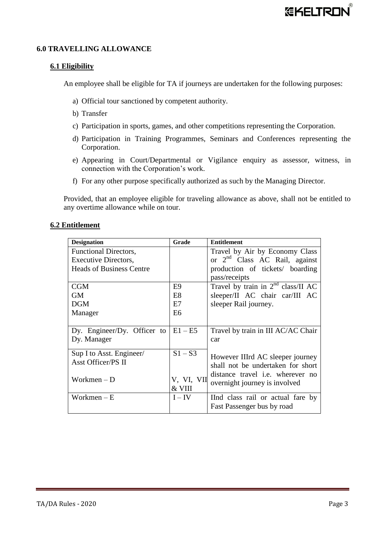#### **6.0 TRAVELLING ALLOWANCE**

#### **6.1 Eligibility**

An employee shall be eligible for TA if journeys are undertaken for the following purposes:

- a) Official tour sanctioned by competent authority.
- b) Transfer
- c) Participation in sports, games, and other competitions representing the Corporation.
- d) Participation in Training Programmes, Seminars and Conferences representing the Corporation.
- e) Appearing in Court/Departmental or Vigilance enquiry as assessor, witness, in connection with the Corporation's work.
- f) For any other purpose specifically authorized as such by the Managing Director.

Provided, that an employee eligible for traveling allowance as above, shall not be entitled to any overtime allowance while on tour.

| <b>6.2 Entitlement</b> |
|------------------------|
|------------------------|

| <b>Designation</b>              | Grade          | <b>Entitlement</b>                      |
|---------------------------------|----------------|-----------------------------------------|
| <b>Functional Directors,</b>    |                | Travel by Air by Economy Class          |
| Executive Directors,            |                | or $2^{nd}$ Class AC Rail, against      |
| <b>Heads of Business Centre</b> |                | production of tickets/ boarding         |
|                                 |                | pass/receipts                           |
| <b>CGM</b>                      | E <sub>9</sub> | Travel by train in $2nd$ class/II AC    |
| GM                              | E <sub>8</sub> | sleeper/II AC chair car/III AC          |
| <b>DGM</b>                      | E7             | sleeper Rail journey.                   |
| Manager                         | E <sub>6</sub> |                                         |
|                                 |                |                                         |
| Dy. Engineer/Dy. Officer to     | $E1 - E5$      | Travel by train in III AC/AC Chair      |
| Dy. Manager                     |                | car                                     |
|                                 |                |                                         |
| Sup I to Asst. Engineer/        | $S1-S3$        | However IIIrd AC sleeper journey        |
| <b>Asst Officer/PS II</b>       |                | shall not be undertaken for short       |
|                                 |                | distance travel <i>i.e.</i> wherever no |
| Workmen $-D$                    | V, VI, VII     | overnight journey is involved           |
|                                 | & VIII         |                                         |
| Workmen $-E$                    | I – IV         | IInd class rail or actual fare by       |
|                                 |                | Fast Passenger bus by road              |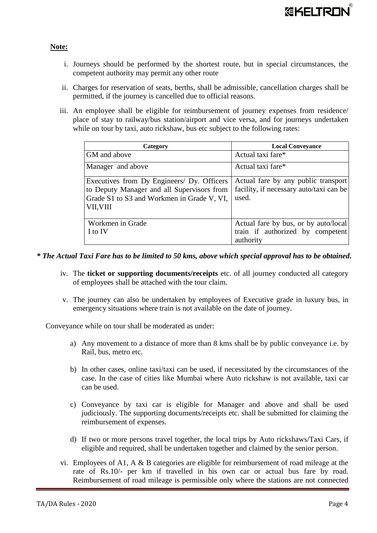#### **Note:**

- i. Journeys should be performed by the shortest route, but in special circumstances, the competent authority may permit any other route
- ii. Charges for reservation of seats, berths, shall be admissible, cancellation charges shall be permitted, if the journey is cancelled due to official reasons.
- iii. An employee shall be eligible for reimbursement of journey expenses from residence/ place of stay to railway/bus station/airport and vice versa, and for journeys undertaken while on tour by taxi, auto rickshaw, bus etc subject to the following rates:

| Category                                   | <b>Local Conveyance</b>                 |  |
|--------------------------------------------|-----------------------------------------|--|
| GM and above                               | Actual taxi fare*                       |  |
| Manager and above                          | Actual taxi fare*                       |  |
| Executives from Dy Engineers/ Dy. Officers | Actual fare by any public transport     |  |
| to Deputy Manager and all Supervisors from | facility, if necessary auto/taxi can be |  |
| Grade S1 to S3 and Workmen in Grade V, VI, | used.                                   |  |
| VII, VIII                                  |                                         |  |
|                                            |                                         |  |
| Workmen in Grade                           | Actual fare by bus, or by auto/local    |  |
| I to IV                                    | train if authorized by competent        |  |
|                                            | authority                               |  |

- *\* The Actual Taxi Fare has to be limited to 50 kms, above which special approval has to be obtained.*
	- iv. The **ticket or supporting documents/receipts** etc. of all journey conducted all category of employees shall be attached with the tour claim.
	- v. The journey can also be undertaken by employees of Executive grade in luxury bus, in emergency situations where train is not available on the date of journey.

Conveyance while on tour shall be moderated as under:

- a) Any movement to a distance of more than 8 kms shall be by public conveyance i.e. by Rail, bus, metro etc.
- b) In other cases, online taxi/taxi can be used, if necessitated by the circumstances of the case. In the case of cities like Mumbai where Auto rickshaw is not available, taxi car can be used.
- c) Conveyance by taxi car is eligible for Manager and above and shall be used judiciously. The supporting documents/receipts etc. shall be submitted for claiming the reimbursement of expenses.
- d) If two or more persons travel together, the local trips by Auto rickshaws/Taxi Cars, if eligible and required, shall be undertaken together and claimed by the senior person.
- vi. Employees of A1, A & B categories are eligible for reimbursement of road mileage at the rate of Rs.10/- per km if travelled in his own car or actual bus fare by road. Reimbursement of road mileage is permissible only where the stations are not connected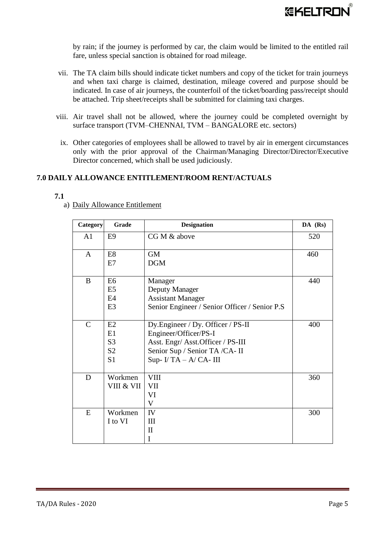by rain; if the journey is performed by car, the claim would be limited to the entitled rail fare, unless special sanction is obtained for road mileage.

- vii. The TA claim bills should indicate ticket numbers and copy of the ticket for train journeys and when taxi charge is claimed, destination, mileage covered and purpose should be indicated. In case of air journeys, the counterfoil of the ticket/boarding pass/receipt should be attached. Trip sheet/receipts shall be submitted for claiming taxi charges.
- viii. Air travel shall not be allowed, where the journey could be completed overnight by surface transport (TVM–CHENNAI, TVM – BANGALORE etc. sectors)
	- ix. Other categories of employees shall be allowed to travel by air in emergent circumstances only with the prior approval of the Chairman/Managing Director/Director/Executive Director concerned, which shall be used judiciously.

#### **7.0 DAILY ALLOWANCE ENTITLEMENT/ROOM RENT/ACTUALS**

| $\sim$ | ۰, |
|--------|----|
|        |    |

| Category       | Grade          | <b>Designation</b>                            | DA (Rs) |
|----------------|----------------|-----------------------------------------------|---------|
| A <sub>1</sub> | E <sub>9</sub> | CG M & above                                  | 520     |
| $\mathbf{A}$   | E <sub>8</sub> | <b>GM</b>                                     | 460     |
|                | E7             | <b>DGM</b>                                    |         |
| $\bf{B}$       | E <sub>6</sub> | Manager                                       | 440     |
|                | E <sub>5</sub> | Deputy Manager                                |         |
|                | E4             | <b>Assistant Manager</b>                      |         |
|                | E <sub>3</sub> | Senior Engineer / Senior Officer / Senior P.S |         |
| $\mathcal{C}$  | E2             | Dy.Engineer / Dy. Officer / PS-II             | 400     |
|                | E1             | Engineer/Officer/PS-I                         |         |
|                | S <sub>3</sub> | Asst. Engr/ Asst. Officer / PS-III            |         |
|                | S <sub>2</sub> | Senior Sup / Senior TA /CA- II                |         |
|                | S <sub>1</sub> | Sup- $I/TA - A/CA$ - III                      |         |
| D              | Workmen        | <b>VIII</b>                                   | 360     |
|                | VIII & VII     | VII                                           |         |
|                |                | VI                                            |         |
|                |                | V                                             |         |
| E              | Workmen        | IV                                            | 300     |
|                | I to VI        | III                                           |         |
|                |                | $\mathbf{I}$                                  |         |
|                |                | I                                             |         |

a) Daily Allowance Entitlement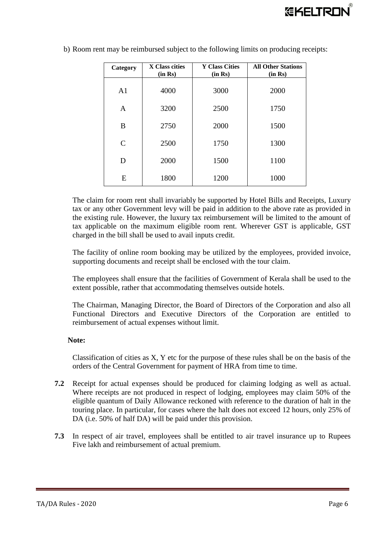| Category                    | X Class cities<br>(in Rs) | <b>Y Class Cities</b><br>(in Rs) | <b>All Other Stations</b><br>(in Rs) |
|-----------------------------|---------------------------|----------------------------------|--------------------------------------|
| A <sub>1</sub>              | 4000                      | 3000                             | 2000                                 |
| $\mathbf{A}$                | 3200                      | 2500                             | 1750                                 |
| B                           | 2750                      | 2000                             | 1500                                 |
| $\mathcal{C}_{\mathcal{C}}$ | 2500                      | 1750                             | 1300                                 |
| D                           | 2000                      | 1500                             | 1100                                 |
| E                           | 1800                      | 1200                             | 1000                                 |

b) Room rent may be reimbursed subject to the following limits on producing receipts:

The claim for room rent shall invariably be supported by Hotel Bills and Receipts, Luxury tax or any other Government levy will be paid in addition to the above rate as provided in the existing rule. However, the luxury tax reimbursement will be limited to the amount of tax applicable on the maximum eligible room rent. Wherever GST is applicable, GST charged in the bill shall be used to avail inputs credit.

The facility of online room booking may be utilized by the employees, provided invoice, supporting documents and receipt shall be enclosed with the tour claim.

The employees shall ensure that the facilities of Government of Kerala shall be used to the extent possible, rather that accommodating themselves outside hotels.

The Chairman, Managing Director, the Board of Directors of the Corporation and also all Functional Directors and Executive Directors of the Corporation are entitled to reimbursement of actual expenses without limit.

#### **Note:**

Classification of cities as X, Y etc for the purpose of these rules shall be on the basis of the orders of the Central Government for payment of HRA from time to time.

- **7.2** Receipt for actual expenses should be produced for claiming lodging as well as actual. Where receipts are not produced in respect of lodging, employees may claim 50% of the eligible quantum of Daily Allowance reckoned with reference to the duration of halt in the touring place. In particular, for cases where the halt does not exceed 12 hours, only 25% of DA (i.e. 50% of half DA) will be paid under this provision.
- **7.3** In respect of air travel, employees shall be entitled to air travel insurance up to Rupees Five lakh and reimbursement of actual premium.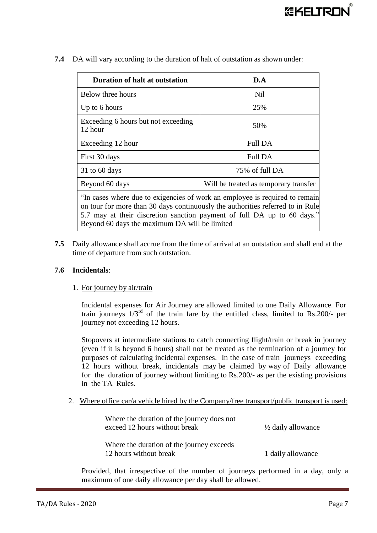| <b>Duration of halt at outstation</b>                                                                                                                                                                                                    | D.A |  |
|------------------------------------------------------------------------------------------------------------------------------------------------------------------------------------------------------------------------------------------|-----|--|
| Below three hours<br><b>Nil</b>                                                                                                                                                                                                          |     |  |
| Up to 6 hours<br>25%                                                                                                                                                                                                                     |     |  |
| Exceeding 6 hours but not exceeding<br>50%<br>12 hour                                                                                                                                                                                    |     |  |
| Full DA<br>Exceeding 12 hour                                                                                                                                                                                                             |     |  |
| Full DA<br>First 30 days                                                                                                                                                                                                                 |     |  |
| 75% of full DA<br>$31$ to 60 days                                                                                                                                                                                                        |     |  |
| Beyond 60 days<br>Will be treated as temporary transfer                                                                                                                                                                                  |     |  |
| "In cases where due to exigencies of work an employee is required to remain<br>on tour for more than 30 days continuously the authorities referred to in Rule<br>5.7 may at their discretion sanction payment of full DA up to 60 days." |     |  |

**7.4** DA will vary according to the duration of halt of outstation as shown under:

**7.5** Daily allowance shall accrue from the time of arrival at an outstation and shall end at the time of departure from such outstation.

Beyond 60 days the maximum DA will be limited

#### **7.6 Incidentals**:

#### 1. For journey by air/train

Incidental expenses for Air Journey are allowed limited to one Daily Allowance. For train journeys  $1/3^{rd}$  of the train fare by the entitled class, limited to Rs.200/- per journey not exceeding 12 hours.

Stopovers at intermediate stations to catch connecting flight/train or break in journey (even if it is beyond 6 hours) shall not be treated as the termination of a journey for purposes of calculating incidental expenses. In the case of train journeys exceeding 12 hours without break, incidentals may be claimed by way of Daily allowance for the duration of journey without limiting to Rs.200/- as per the existing provisions in the TA Rules.

2. Where office car/a vehicle hired by the Company/free transport/public transport is used:

| Where the duration of the journey does not |                               |
|--------------------------------------------|-------------------------------|
| exceed 12 hours without break              | $\frac{1}{2}$ daily allowance |
|                                            |                               |
| Where the duration of the journey exceeds  |                               |
| 12 hours without break                     | 1 daily allowance             |

Provided, that irrespective of the number of journeys performed in a day, only a maximum of one daily allowance per day shall be allowed.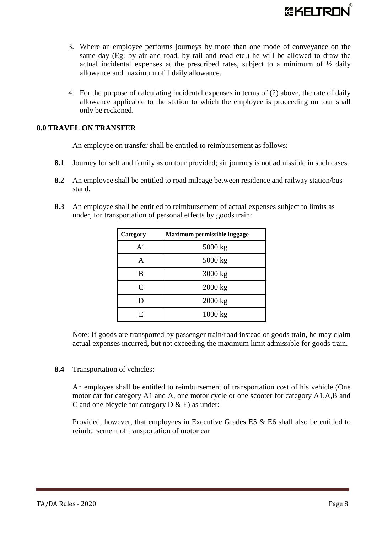

- 3. Where an employee performs journeys by more than one mode of conveyance on the same day (Eg: by air and road, by rail and road etc.) he will be allowed to draw the actual incidental expenses at the prescribed rates, subject to a minimum of ½ daily allowance and maximum of 1 daily allowance.
- 4. For the purpose of calculating incidental expenses in terms of (2) above, the rate of daily allowance applicable to the station to which the employee is proceeding on tour shall only be reckoned.

#### **8.0 TRAVEL ON TRANSFER**

An employee on transfer shall be entitled to reimbursement as follows:

- **8.1** Journey for self and family as on tour provided; air journey is not admissible in such cases.
- **8.2** An employee shall be entitled to road mileage between residence and railway station/bus stand.
- **8.3** An employee shall be entitled to reimbursement of actual expenses subject to limits as under, for transportation of personal effects by goods train:

| Category | Maximum permissible luggage |
|----------|-----------------------------|
| A1       | 5000 kg                     |
| A        | $5000$ kg                   |
| В        | 3000 kg                     |
| C        | 2000 kg                     |
| D        | 2000 kg                     |
| F.       | 1000 kg                     |

Note: If goods are transported by passenger train/road instead of goods train, he may claim actual expenses incurred, but not exceeding the maximum limit admissible for goods train.

**8.4** Transportation of vehicles:

An employee shall be entitled to reimbursement of transportation cost of his vehicle (One motor car for category A1 and A, one motor cycle or one scooter for category A1,A,B and C and one bicycle for category  $D \& E$ ) as under:

Provided, however, that employees in Executive Grades E5 & E6 shall also be entitled to reimbursement of transportation of motor car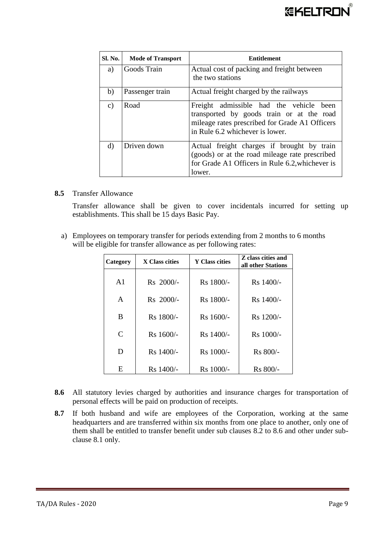

| Sl. No.       | <b>Mode of Transport</b> | <b>Entitlement</b>                                                                                                                                                           |
|---------------|--------------------------|------------------------------------------------------------------------------------------------------------------------------------------------------------------------------|
| a)            | Goods Train              | Actual cost of packing and freight between<br>the two stations                                                                                                               |
| b)            | Passenger train          | Actual freight charged by the railways                                                                                                                                       |
| $\mathbf{c})$ | Road                     | Freight admissible had the vehicle<br>been<br>transported by goods train or at the road<br>mileage rates prescribed for Grade A1 Officers<br>in Rule 6.2 whichever is lower. |
| $\mathbf{d}$  | Driven down              | Actual freight charges if brought by train<br>(goods) or at the road mileage rate prescribed<br>for Grade A1 Officers in Rule 6.2, whichever is<br>lower.                    |

#### **8.5** Transfer Allowance

Transfer allowance shall be given to cover incidentals incurred for setting up establishments. This shall be 15 days Basic Pay.

a) Employees on temporary transfer for periods extending from 2 months to 6 months will be eligible for transfer allowance as per following rates:

| Category       | X Class cities        | <b>Y</b> Class cities | Z class cities and<br>all other Stations |
|----------------|-----------------------|-----------------------|------------------------------------------|
| A <sub>1</sub> | Rs 2000/-             | R <sub>s</sub> 1800/- | $Rs$ 1400/-                              |
| A              | Rs 2000/-             | Rs 1800/-             | $Rs$ 1400/-                              |
| B              | R <sub>s</sub> 1800/- | Rs 1600/-             | $Rs$ 1200/-                              |
| C              | $Rs$ 1600/-           | Rs 1400/-             | $Rs$ 1000/-                              |
| D              | $Rs$ 1400/-           | Rs 1000/-             | R <sub>s</sub> 800/-                     |
| E              | R <sub>s</sub> 1400/- | Rs 1000/-             | $Rs 800/-$                               |

- **8.6** All statutory levies charged by authorities and insurance charges for transportation of personal effects will be paid on production of receipts.
- **8.7** If both husband and wife are employees of the Corporation, working at the same headquarters and are transferred within six months from one place to another, only one of them shall be entitled to transfer benefit under sub clauses 8.2 to 8.6 and other under subclause 8.1 only.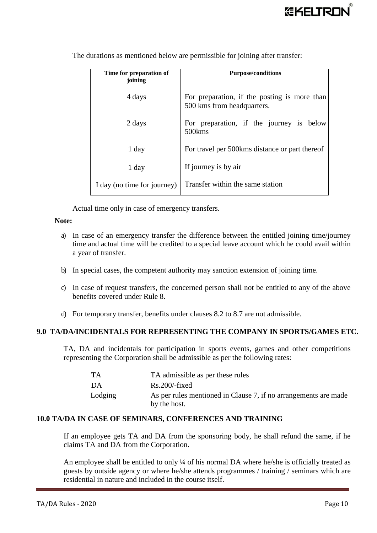| Time for preparation of<br>ioining | <b>Purpose/conditions</b>                                                  |
|------------------------------------|----------------------------------------------------------------------------|
| 4 days                             | For preparation, if the posting is more than<br>500 kms from headquarters. |
| 2 days                             | For preparation, if the journey is below<br>500 <sub>kms</sub>             |
| 1 day                              | For travel per 500 kms distance or part thereof                            |
| 1 day                              | If journey is by air                                                       |
| I day (no time for journey)        | Transfer within the same station                                           |

The durations as mentioned below are permissible for joining after transfer:

Actual time only in case of emergency transfers.

#### **Note:**

- a) In case of an emergency transfer the difference between the entitled joining time/journey time and actual time will be credited to a special leave account which he could avail within a year of transfer.
- b) In special cases, the competent authority may sanction extension of joining time.
- c) In case of request transfers, the concerned person shall not be entitled to any of the above benefits covered under Rule 8.
- d) For temporary transfer, benefits under clauses 8.2 to 8.7 are not admissible.

#### **9.0 TA/DA/INCIDENTALS FOR REPRESENTING THE COMPANY IN SPORTS/GAMES ETC.**

TA, DA and incidentals for participation in sports events, games and other competitions representing the Corporation shall be admissible as per the following rates:

| <b>TA</b> | TA admissible as per these rules                                                |
|-----------|---------------------------------------------------------------------------------|
| DA        | $Rs.200$ -fixed                                                                 |
| Lodging   | As per rules mentioned in Clause 7, if no arrangements are made<br>by the host. |

#### **10.0 TA/DA IN CASE OF SEMINARS, CONFERENCES AND TRAINING**

If an employee gets TA and DA from the sponsoring body, he shall refund the same, if he claims TA and DA from the Corporation.

An employee shall be entitled to only ¼ of his normal DA where he/she is officially treated as guests by outside agency or where he/she attends programmes / training / seminars which are residential in nature and included in the course itself.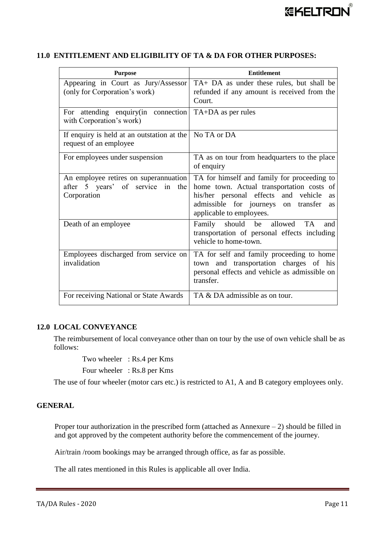| <b>Purpose</b>                                                                              | <b>Entitlement</b>                                                                                                                                                                                                            |
|---------------------------------------------------------------------------------------------|-------------------------------------------------------------------------------------------------------------------------------------------------------------------------------------------------------------------------------|
| Appearing in Court as Jury/Assessor<br>(only for Corporation's work)                        | TA+ DA as under these rules, but shall be<br>refunded if any amount is received from the<br>Court.                                                                                                                            |
| For attending enquiry (in connection<br>with Corporation's work)                            | TA+DA as per rules                                                                                                                                                                                                            |
| If enquiry is held at an outstation at the<br>request of an employee                        | No TA or DA                                                                                                                                                                                                                   |
| For employees under suspension                                                              | TA as on tour from headquarters to the place<br>of enquiry                                                                                                                                                                    |
| An employee retires on superannuation<br>after 5 years' of service in<br>the<br>Corporation | TA for himself and family for proceeding to<br>home town. Actual transportation costs of<br>his/her personal effects and vehicle<br><b>as</b><br>admissible for journeys on transfer<br><b>as</b><br>applicable to employees. |
| Death of an employee                                                                        | Family should be allowed<br><b>TA</b><br>and<br>transportation of personal effects including<br>vehicle to home-town.                                                                                                         |
| Employees discharged from service on<br>invalidation                                        | TA for self and family proceeding to home<br>town and transportation charges of his<br>personal effects and vehicle as admissible on<br>transfer.                                                                             |
| For receiving National or State Awards                                                      | TA & DA admissible as on tour.                                                                                                                                                                                                |

#### **11.0 ENTITLEMENT AND ELIGIBILITY OF TA & DA FOR OTHER PURPOSES:**

#### **12.0 LOCAL CONVEYANCE**

The reimbursement of local conveyance other than on tour by the use of own vehicle shall be as follows:

Two wheeler : Rs.4 per Kms

Four wheeler : Rs.8 per Kms

The use of four wheeler (motor cars etc.) is restricted to A1, A and B category employees only.

#### **GENERAL**

Proper tour authorization in the prescribed form (attached as Annexure  $-2$ ) should be filled in and got approved by the competent authority before the commencement of the journey.

Air/train /room bookings may be arranged through office, as far as possible.

The all rates mentioned in this Rules is applicable all over India.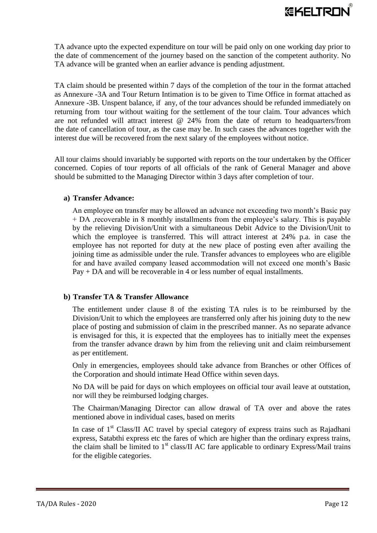

TA advance upto the expected expenditure on tour will be paid only on one working day prior to the date of commencement of the journey based on the sanction of the competent authority. No TA advance will be granted when an earlier advance is pending adjustment.

TA claim should be presented within 7 days of the completion of the tour in the format attached as Annexure -3A and Tour Return Intimation is to be given to Time Office in format attached as Annexure -3B. Unspent balance, if any, of the tour advances should be refunded immediately on returning from tour without waiting for the settlement of the tour claim. Tour advances which are not refunded will attract interest @ 24% from the date of return to headquarters/from the date of cancellation of tour, as the case may be. In such cases the advances together with the interest due will be recovered from the next salary of the employees without notice.

All tour claims should invariably be supported with reports on the tour undertaken by the Officer concerned. Copies of tour reports of all officials of the rank of General Manager and above should be submitted to the Managing Director within 3 days after completion of tour.

#### **a) Transfer Advance:**

An employee on transfer may be allowed an advance not exceeding two month's Basic pay + DA ,recoverable in 8 monthly installments from the employee's salary. This is payable by the relieving Division/Unit with a simultaneous Debit Advice to the Division/Unit to which the employee is transferred. This will attract interest at 24% p.a. in case the employee has not reported for duty at the new place of posting even after availing the joining time as admissible under the rule. Transfer advances to employees who are eligible for and have availed company leased accommodation will not exceed one month's Basic Pay + DA and will be recoverable in 4 or less number of equal installments.

#### **b) Transfer TA & Transfer Allowance**

The entitlement under clause 8 of the existing TA rules is to be reimbursed by the Division/Unit to which the employees are transferred only after his joining duty to the new place of posting and submission of claim in the prescribed manner. As no separate advance is envisaged for this, it is expected that the employees has to initially meet the expenses from the transfer advance drawn by him from the relieving unit and claim reimbursement as per entitlement.

Only in emergencies, employees should take advance from Branches or other Offices of the Corporation and should intimate Head Office within seven days.

No DA will be paid for days on which employees on official tour avail leave at outstation, nor will they be reimbursed lodging charges.

The Chairman/Managing Director can allow drawal of TA over and above the rates mentioned above in individual cases, based on merits

In case of  $1<sup>st</sup> Class/II$  AC travel by special category of express trains such as Rajadhani express, Satabthi express etc the fares of which are higher than the ordinary express trains, the claim shall be limited to  $1<sup>st</sup>$  class/II AC fare applicable to ordinary Express/Mail trains for the eligible categories.